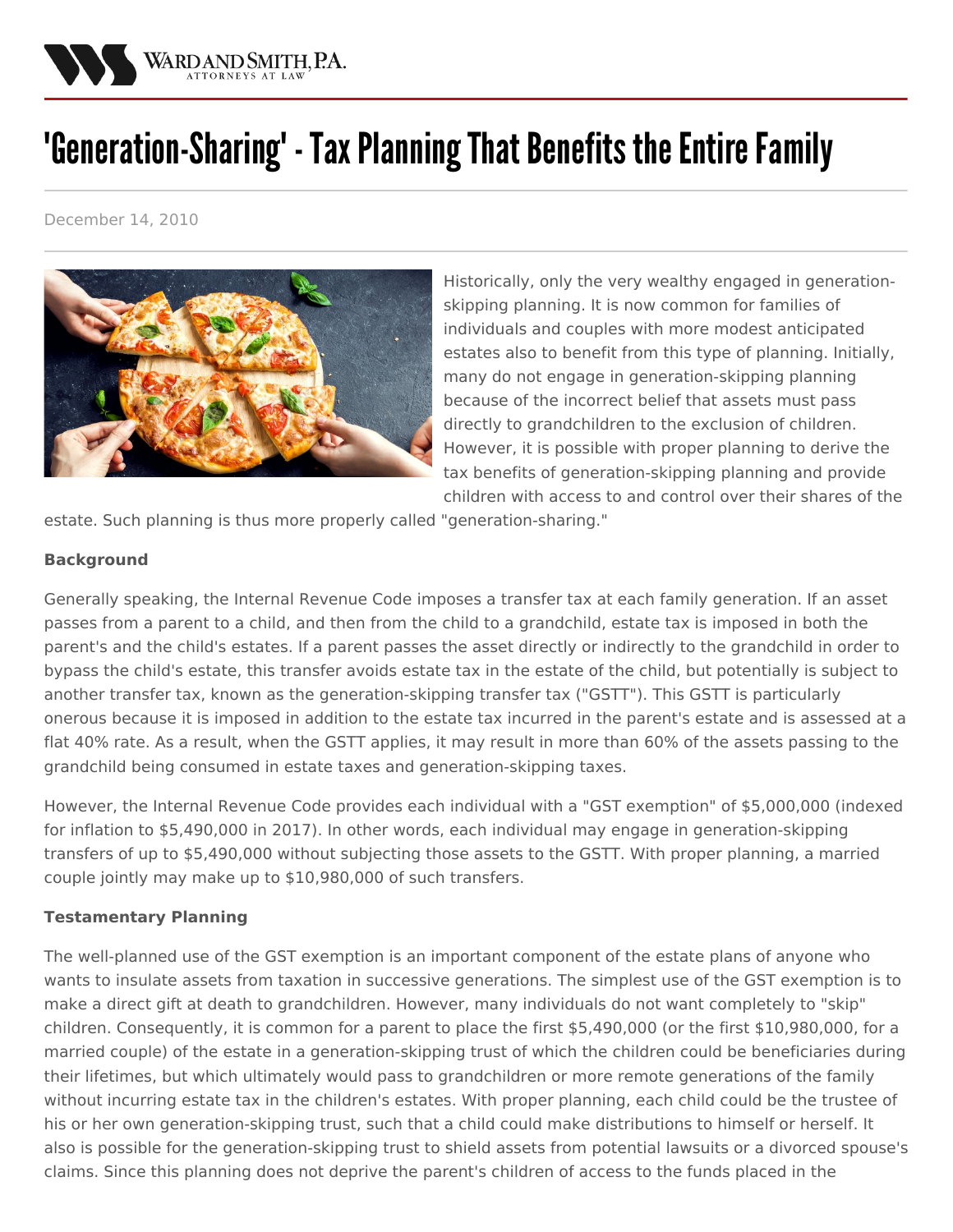

# 'Generation-Sharing' - Tax Planning That Benefits the Entire Family

December 14, 2010



Historically, only the very wealthy engaged in generationskipping planning. It is now common for families of individuals and couples with more modest anticipated estates also to benefit from this type of planning. Initially, many do not engage in generation-skipping planning because of the incorrect belief that assets must pass directly to grandchildren to the exclusion of children. However, it is possible with proper planning to derive the tax benefits of generation-skipping planning and provide children with access to and control over their shares of the

estate. Such planning is thus more properly called "generation-sharing."

## **Background**

Generally speaking, the Internal Revenue Code imposes a transfer tax at each family generation. If an asset passes from a parent to a child, and then from the child to a grandchild, estate tax is imposed in both the parent's and the child's estates. If a parent passes the asset directly or indirectly to the grandchild in order to bypass the child's estate, this transfer avoids estate tax in the estate of the child, but potentially is subject to another transfer tax, known as the generation-skipping transfer tax ("GSTT"). This GSTT is particularly onerous because it is imposed in addition to the estate tax incurred in the parent's estate and is assessed at a flat 40% rate. As a result, when the GSTT applies, it may result in more than 60% of the assets passing to the grandchild being consumed in estate taxes and generation-skipping taxes.

However, the Internal Revenue Code provides each individual with a "GST exemption" of \$5,000,000 (indexed for inflation to \$5,490,000 in 2017). In other words, each individual may engage in generation-skipping transfers of up to \$5,490,000 without subjecting those assets to the GSTT. With proper planning, a married couple jointly may make up to \$10,980,000 of such transfers.

# **Testamentary Planning**

The well-planned use of the GST exemption is an important component of the estate plans of anyone who wants to insulate assets from taxation in successive generations. The simplest use of the GST exemption is to make a direct gift at death to grandchildren. However, many individuals do not want completely to "skip" children. Consequently, it is common for a parent to place the first \$5,490,000 (or the first \$10,980,000, for a married couple) of the estate in a generation-skipping trust of which the children could be beneficiaries during their lifetimes, but which ultimately would pass to grandchildren or more remote generations of the family without incurring estate tax in the children's estates. With proper planning, each child could be the trustee of his or her own generation-skipping trust, such that a child could make distributions to himself or herself. It also is possible for the generation-skipping trust to shield assets from potential lawsuits or a divorced spouse's claims. Since this planning does not deprive the parent's children of access to the funds placed in the